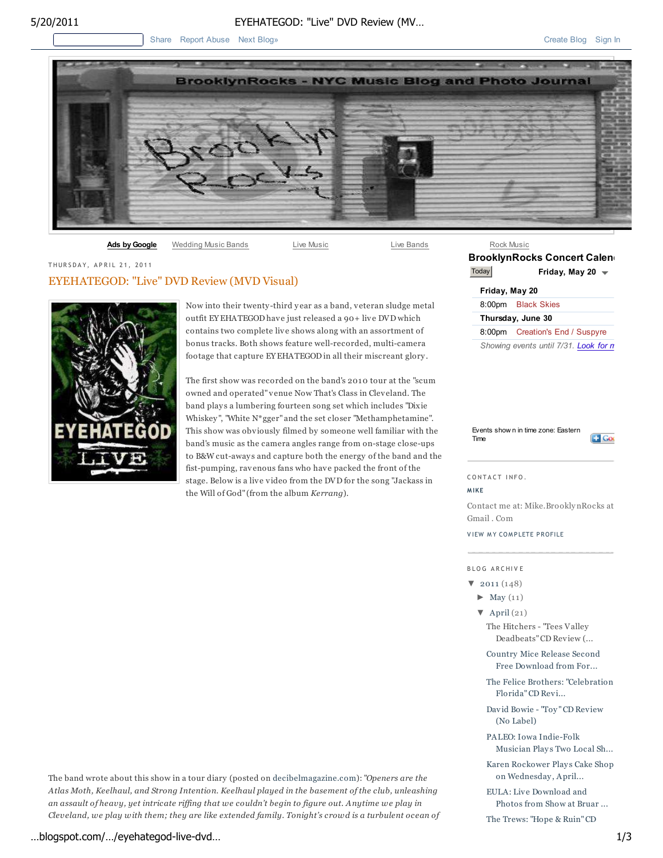## 5/20/2011 EYEHATEGOD: "Live" DVD Review (MV…

Share Report Abuse Next Blog» Create Blog Sign In Share Report Abuse Next Blog Sign In



Ads by Google Wedding Music Bands Live Music Live Music Live Bands

### THURSDAY, APRIL 21, 2011

## EYEHATEGOD: "Live" DVD Review (MVD Visual)



Now into their twenty-third y ear as a band, v eteran sludge metal outfit EY EHATEGOD have just released a 90+ live DVD which contains two complete live shows along with an assortment of bonus tracks. Both shows feature well-recorded, multi-camera footage that capture EY EHATEGOD in all their miscreant glory .

The first show was recorded on the band's 2010 tour at the "scum owned and operated" venue Now That's Class in Clev eland. The band plays a lumbering fourteen song set which includes "Dixie Whiskey ", "White N\*gger" and the set closer "Methamphetamine". This show was obviously filmed by someone well familiar with the band's music as the camera angles range from on-stage close-ups to B&W cut-away s and capture both the energy of the band and the fist-pumping, rav enous fans who have packed the front of the stage. Below is a live video from the DVD for the song "Jackass in the Will of God" (from the album *Kerrang*).

| Rock Music         |                                       |
|--------------------|---------------------------------------|
|                    | <b>BrooklynRocks Concert Calen</b>    |
| Today              | Friday, May 20 $\rightarrow$          |
| Friday, May 20     |                                       |
|                    | 8:00pm Black Skies                    |
|                    | Thursday, June 30                     |
| 8:00 <sub>pm</sub> | Creation's End / Suspyre              |
|                    | Showing events until 7/31. Look for n |

Events show n in time zone: Eastern Time



CONTACT INFO.

**M IKE**

Contact me at: Mike.Brookly nRocks at Gmail . Com

VIEW MY COMPLETE PROFILE

## B L O G A R C HI V E

- $\blacktriangledown$  2011 (148)
	- $\blacktriangleright$  May (11)

▼ April (21) The Hitchers - "Tees Valley Deadbeats" CD Review (...

Country Mice Release Second Free Download from For...

The Felice Brothers: "Celebration Florida" CD Revi...

Dav id Bowie - "Toy " CD Review (No Label)

PALEO: Iowa Indie-Folk Musician Plays Two Local Sh...

Karen Rockower Plays Cake Shop on Wednesday , April...

EULA: Live Download and Photos from Show at Bruar ...

The Trews: "Hope & Ruin" CD

The band wrote about this show in a tour diary (posted on decibelmagazine.com): "*Openers are the Atlas Moth, Keelhaul, and Strong Intention. Keelhaul played in the basement of the club, unleashing an assault of heavy, yet intricate riffing that we couldn't begin to figure out. Anytime we play in Cleveland, we play with them; they are like extended family. Tonight's crowd is a turbulent ocean of*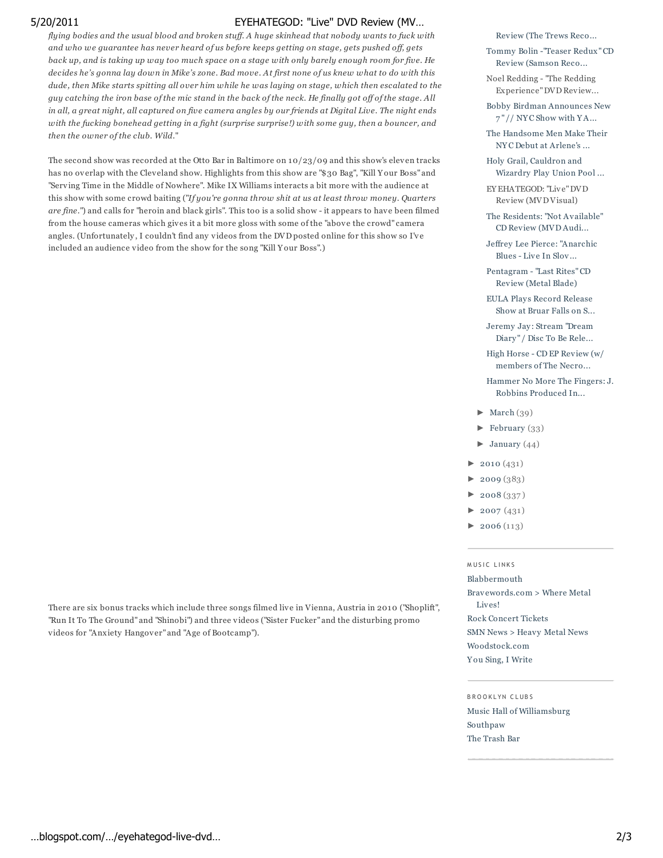# 5/20/2011 EYEHATEGOD: "Live" DVD Review (MV…

*flying bodies and the usual blood and broken stuff. A huge skinhead that nobody wants to fuck with and who we guarantee has never heard of us before keeps getting on stage, gets pushed off, gets back up, and is taking up way too much space on a stage with only barely enough room for five. He decides he's gonna lay down in Mike's zone. Bad move. At first none of us knew what to do with this dude, then Mike starts spitting all over him while he was laying on stage, which then escalated to the guy catching the iron base of the mic stand in the back of the neck. He finally got off of the stage. All in all, a great night, all captured on five camera angles by our friends at Digital Live. The night ends with the fucking bonehead getting in a fight (surprise surprise!) with some guy, then a bouncer, and then the owner of the club. Wild.*"

The second show was recorded at the Otto Bar in Baltimore on  $10/23/09$  and this show's eleven tracks has no ov erlap with the Cleveland show. Highlights from this show are "\$30 Bag", "Kill Y our Boss" and "Serv ing Time in the Middle of Nowhere". Mike IX Williams interacts a bit more with the audience at this show with some crowd baiting ("*If you're gonna throw shit at us at least throw money. Quarters are fine.*") and calls for "heroin and black girls". This too is a solid show - it appears to hav e been filmed from the house cameras which gives it a bit more gloss with some of the "above the crowd" camera angles. (Unfortunately, I couldn't find any videos from the DVD posted online for this show so I've included an audience video from the show for the song "Kill Y our Boss".)

Review (The Trews Reco...

Tommy Bolin -"Teaser Redux" CD Review (Samson Reco...

Noel Redding - "The Redding Experience" DVD Review...

Bobby Birdman Announces New 7 " // NY C Show with Y A...

The Handsome Men Make Their NY C Debut at Arlene's ...

Holy Grail, Cauldron and Wizardry Play Union Pool ...

EY EHATEGOD: "Liv e" DVD Review (MVD Visual)

The Residents: "Not Available" CD Review (MVD Audi...

Jeffrey Lee Pierce: "Anarchic  $B$ lues - Live In  $S$ lov...

Pentagram - "Last Rites" CD Review (Metal Blade)

EULA Plays Record Release Show at Bruar Falls on S...

Jeremy Jay : Stream "Dream Diary" / Disc To Be Rele...

High Horse - CD EP Review (w/ members of The Necro...

Hammer No More The Fingers: J. Robbins Produced In...

- ► March (39)
- ► February (33)
- $\blacktriangleright$  January (44)
- $\blacktriangleright$  2010 (431)
- $\blacktriangleright$  2009 $(383)$
- ► 2008 (337 )
- $\blacktriangleright$  2007 (431)
- $2006(113)$

## MUSIC LINKS

Blabbermouth

Brav ewords.com > Where Metal Liv es! Rock Concert Tickets SMN News > Heavy Metal News Woodstock.com

Y ou Sing, I Write

B R O O K L YN C L UB S

Music Hall of Williamsburg Southpaw The Trash Bar

There are six bonus tracks which include three songs filmed live in Vienna, Austria in 2010 ("Shoplift", "Run It To The Ground" and "Shinobi") and three v ideos ("Sister Fucker" and the disturbing promo videos for "Anxiety Hangov er" and "Age of Bootcamp").